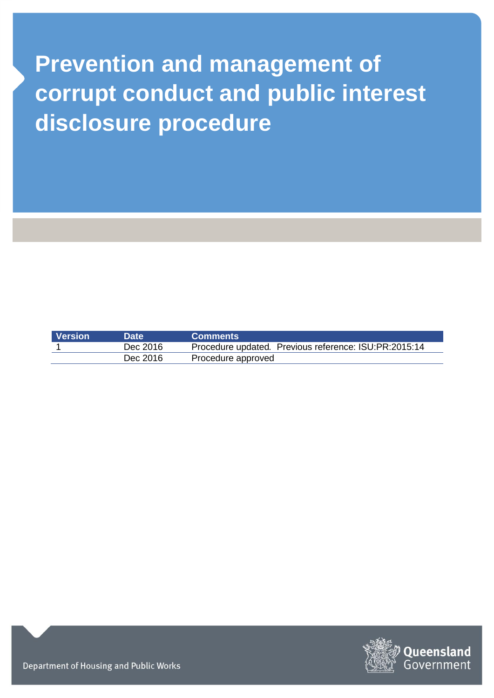# **Prevention and management of corrupt conduct and public interest disclosure procedure**

| Version | <b>Date</b> | <b>Comments</b>                                       |
|---------|-------------|-------------------------------------------------------|
|         | Dec 2016    | Procedure updated. Previous reference: ISU:PR:2015:14 |
|         | Dec 2016    | Procedure approved                                    |



Department of Housing and Public Works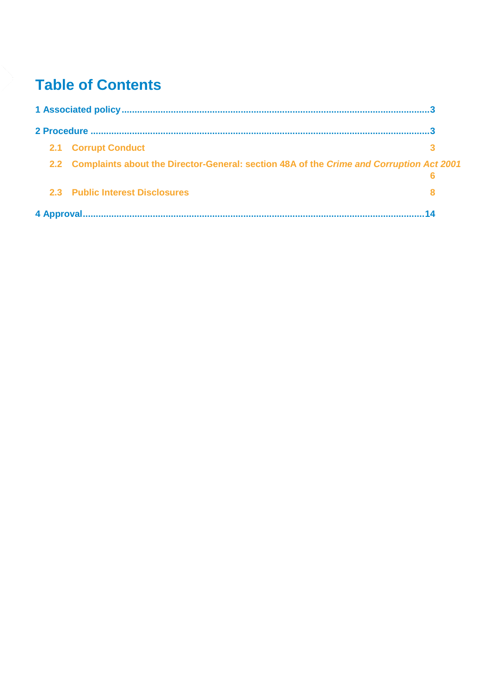# **Table of Contents**

| <b>2.1 Corrupt Conduct</b>                                                                  |  |
|---------------------------------------------------------------------------------------------|--|
| 2.2 Complaints about the Director-General: section 48A of the Crime and Corruption Act 2001 |  |
| 2.3 Public Interest Disclosures                                                             |  |
|                                                                                             |  |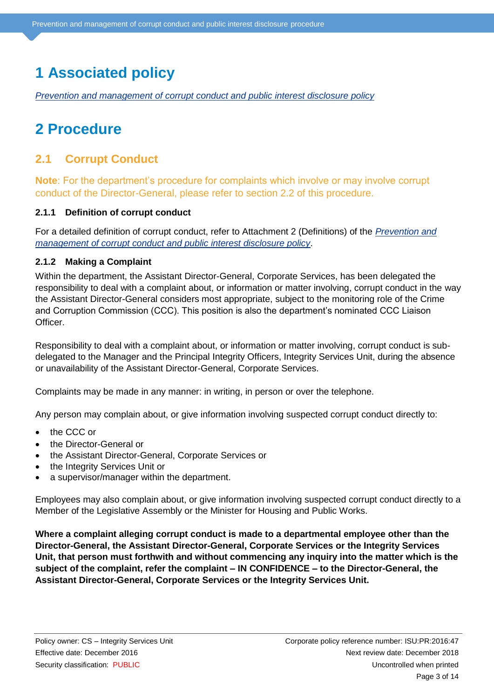# <span id="page-2-0"></span>**1 Associated policy**

<span id="page-2-1"></span>*[Prevention and management of corrupt conduct and public interest disclosure policy](https://www.hpw.qld.gov.au/aboutus/Complaints/Pages/Default.aspx)*

## **2 Procedure**

### <span id="page-2-2"></span>**2.1 Corrupt Conduct**

**Note**: For the department's procedure for complaints which involve or may involve corrupt conduct of the Director-General, please refer to section 2.2 of this procedure.

#### **2.1.1 Definition of corrupt conduct**

For a detailed definition of corrupt conduct, refer to Attachment 2 (Definitions) of the *[Prevention and](https://www.hpw.qld.gov.au/aboutus/Complaints/Pages/Default.aspx)  [management of corrupt conduct and public interest disclosure policy](https://www.hpw.qld.gov.au/aboutus/Complaints/Pages/Default.aspx)*.

#### **2.1.2 Making a Complaint**

Within the department, the Assistant Director-General, Corporate Services, has been delegated the responsibility to deal with a complaint about, or information or matter involving, corrupt conduct in the way the Assistant Director-General considers most appropriate, subject to the monitoring role of the Crime and Corruption Commission (CCC). This position is also the department's nominated CCC Liaison Officer.

Responsibility to deal with a complaint about, or information or matter involving, corrupt conduct is subdelegated to the Manager and the Principal Integrity Officers, Integrity Services Unit, during the absence or unavailability of the Assistant Director-General, Corporate Services.

Complaints may be made in any manner: in writing, in person or over the telephone.

Any person may complain about, or give information involving suspected corrupt conduct directly to:

- the CCC or
- the Director-General or
- the Assistant Director-General, Corporate Services or
- the Integrity Services Unit or
- a supervisor/manager within the department.

Employees may also complain about, or give information involving suspected corrupt conduct directly to a Member of the Legislative Assembly or the Minister for Housing and Public Works.

**Where a complaint alleging corrupt conduct is made to a departmental employee other than the Director-General, the Assistant Director-General, Corporate Services or the Integrity Services Unit, that person must forthwith and without commencing any inquiry into the matter which is the subject of the complaint, refer the complaint – IN CONFIDENCE – to the Director-General, the Assistant Director-General, Corporate Services or the Integrity Services Unit.**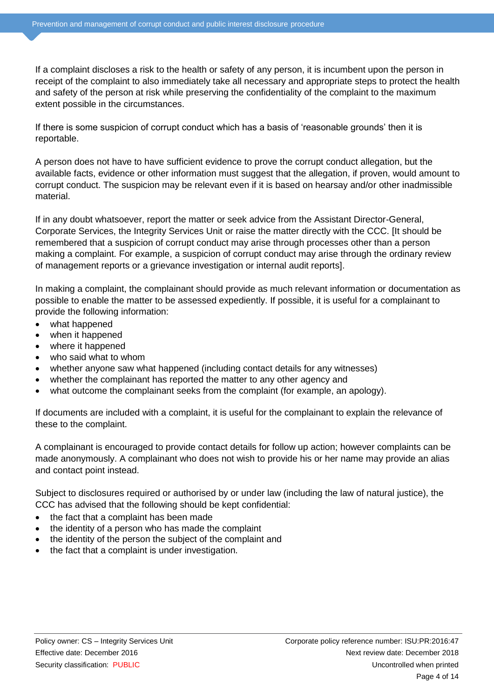If a complaint discloses a risk to the health or safety of any person, it is incumbent upon the person in receipt of the complaint to also immediately take all necessary and appropriate steps to protect the health and safety of the person at risk while preserving the confidentiality of the complaint to the maximum extent possible in the circumstances.

If there is some suspicion of corrupt conduct which has a basis of 'reasonable grounds' then it is reportable.

A person does not have to have sufficient evidence to prove the corrupt conduct allegation, but the available facts, evidence or other information must suggest that the allegation, if proven, would amount to corrupt conduct. The suspicion may be relevant even if it is based on hearsay and/or other inadmissible material.

If in any doubt whatsoever, report the matter or seek advice from the Assistant Director-General, Corporate Services, the Integrity Services Unit or raise the matter directly with the CCC. [It should be remembered that a suspicion of corrupt conduct may arise through processes other than a person making a complaint. For example, a suspicion of corrupt conduct may arise through the ordinary review of management reports or a grievance investigation or internal audit reports].

In making a complaint, the complainant should provide as much relevant information or documentation as possible to enable the matter to be assessed expediently. If possible, it is useful for a complainant to provide the following information:

- what happened
- when it happened
- where it happened
- who said what to whom
- whether anyone saw what happened (including contact details for any witnesses)
- whether the complainant has reported the matter to any other agency and
- what outcome the complainant seeks from the complaint (for example, an apology).

If documents are included with a complaint, it is useful for the complainant to explain the relevance of these to the complaint.

A complainant is encouraged to provide contact details for follow up action; however complaints can be made anonymously. A complainant who does not wish to provide his or her name may provide an alias and contact point instead.

Subject to disclosures required or authorised by or under law (including the law of natural justice), the CCC has advised that the following should be kept confidential:

- the fact that a complaint has been made
- the identity of a person who has made the complaint
- the identity of the person the subject of the complaint and
- the fact that a complaint is under investigation.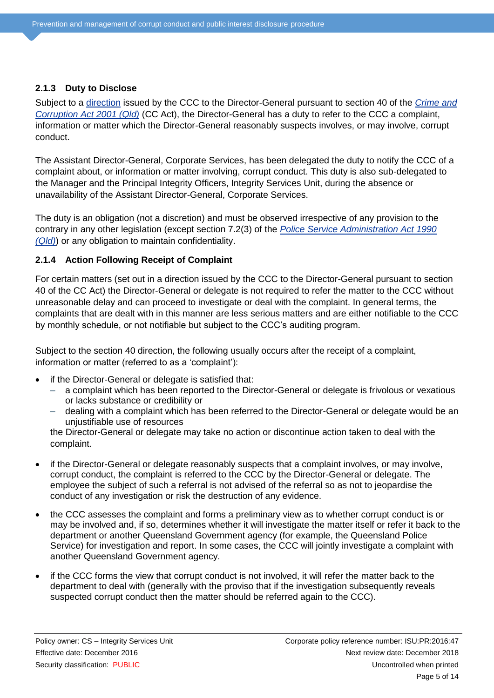#### **2.1.3 Duty to Disclose**

Subject to a [direction](https://hpwqld.sharepoint.com/sites/intranet/ResourceCentre/PoliciesProcedures/Pages/Integrity.aspx) issued by the CCC to the Director-General pursuant to section 40 of the *[Crime and](https://www.legislation.qld.gov.au/LEGISLTN/CURRENT/C/CrimeandCorruptionA01.pdf)  [Corruption Act 2001 \(Qld\)](https://www.legislation.qld.gov.au/LEGISLTN/CURRENT/C/CrimeandCorruptionA01.pdf)* (CC Act), the Director-General has a duty to refer to the CCC a complaint, information or matter which the Director-General reasonably suspects involves, or may involve, corrupt conduct.

The Assistant Director-General, Corporate Services, has been delegated the duty to notify the CCC of a complaint about, or information or matter involving, corrupt conduct. This duty is also sub-delegated to the Manager and the Principal Integrity Officers, Integrity Services Unit, during the absence or unavailability of the Assistant Director-General, Corporate Services.

The duty is an obligation (not a discretion) and must be observed irrespective of any provision to the contrary in any other legislation (except section 7.2(3) of the *[Police Service Administration Act 1990](https://www.legislation.qld.gov.au/LEGISLTN/CURRENT/P/PoliceServAdA90.pdf)  [\(Qld\)](https://www.legislation.qld.gov.au/LEGISLTN/CURRENT/P/PoliceServAdA90.pdf)*) or any obligation to maintain confidentiality.

#### **2.1.4 Action Following Receipt of Complaint**

For certain matters (set out in a direction issued by the CCC to the Director-General pursuant to section 40 of the CC Act) the Director-General or delegate is not required to refer the matter to the CCC without unreasonable delay and can proceed to investigate or deal with the complaint. In general terms, the complaints that are dealt with in this manner are less serious matters and are either notifiable to the CCC by monthly schedule, or not notifiable but subject to the CCC's auditing program.

Subject to the section 40 direction, the following usually occurs after the receipt of a complaint, information or matter (referred to as a 'complaint'):

- if the Director-General or delegate is satisfied that:
	- a complaint which has been reported to the Director-General or delegate is frivolous or vexatious or lacks substance or credibility or
	- dealing with a complaint which has been referred to the Director-General or delegate would be an unjustifiable use of resources

the Director-General or delegate may take no action or discontinue action taken to deal with the complaint.

- if the Director-General or delegate reasonably suspects that a complaint involves, or may involve, corrupt conduct, the complaint is referred to the CCC by the Director-General or delegate. The employee the subject of such a referral is not advised of the referral so as not to jeopardise the conduct of any investigation or risk the destruction of any evidence.
- the CCC assesses the complaint and forms a preliminary view as to whether corrupt conduct is or may be involved and, if so, determines whether it will investigate the matter itself or refer it back to the department or another Queensland Government agency (for example, the Queensland Police Service) for investigation and report. In some cases, the CCC will jointly investigate a complaint with another Queensland Government agency.
- if the CCC forms the view that corrupt conduct is not involved, it will refer the matter back to the department to deal with (generally with the proviso that if the investigation subsequently reveals suspected corrupt conduct then the matter should be referred again to the CCC).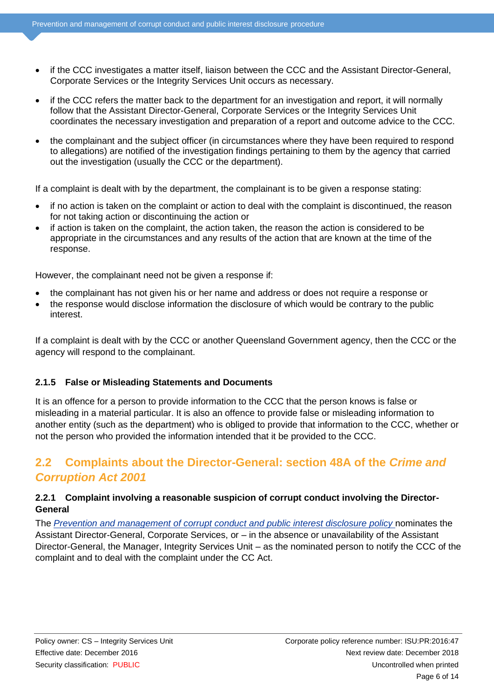- if the CCC investigates a matter itself, liaison between the CCC and the Assistant Director-General, Corporate Services or the Integrity Services Unit occurs as necessary.
- if the CCC refers the matter back to the department for an investigation and report, it will normally follow that the Assistant Director-General, Corporate Services or the Integrity Services Unit coordinates the necessary investigation and preparation of a report and outcome advice to the CCC.
- the complainant and the subject officer (in circumstances where they have been required to respond to allegations) are notified of the investigation findings pertaining to them by the agency that carried out the investigation (usually the CCC or the department).

If a complaint is dealt with by the department, the complainant is to be given a response stating:

- if no action is taken on the complaint or action to deal with the complaint is discontinued, the reason for not taking action or discontinuing the action or
- if action is taken on the complaint, the action taken, the reason the action is considered to be appropriate in the circumstances and any results of the action that are known at the time of the response.

However, the complainant need not be given a response if:

- the complainant has not given his or her name and address or does not require a response or
- the response would disclose information the disclosure of which would be contrary to the public interest.

If a complaint is dealt with by the CCC or another Queensland Government agency, then the CCC or the agency will respond to the complainant.

#### **2.1.5 False or Misleading Statements and Documents**

It is an offence for a person to provide information to the CCC that the person knows is false or misleading in a material particular. It is also an offence to provide false or misleading information to another entity (such as the department) who is obliged to provide that information to the CCC, whether or not the person who provided the information intended that it be provided to the CCC.

### <span id="page-5-0"></span>**2.2 Complaints about the Director-General: section 48A of the** *Crime and Corruption Act 2001*

#### **2.2.1 Complaint involving a reasonable suspicion of corrupt conduct involving the Director-General**

The *[Prevention and management of corrupt conduct and public interest disclosure policy](https://www.hpw.qld.gov.au/aboutus/Complaints/Pages/Default.aspx)* nominates the Assistant Director-General, Corporate Services, or – in the absence or unavailability of the Assistant Director-General, the Manager, Integrity Services Unit – as the nominated person to notify the CCC of the complaint and to deal with the complaint under the CC Act.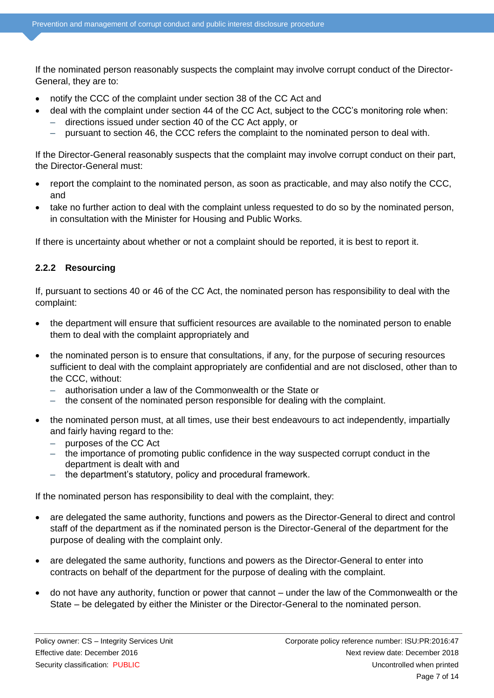If the nominated person reasonably suspects the complaint may involve corrupt conduct of the Director-General, they are to:

- notify the CCC of the complaint under section 38 of the CC Act and
- deal with the complaint under section 44 of the CC Act, subject to the CCC's monitoring role when: – directions issued under section 40 of the CC Act apply, or
	- pursuant to section 46, the CCC refers the complaint to the nominated person to deal with.

If the Director-General reasonably suspects that the complaint may involve corrupt conduct on their part, the Director-General must:

- report the complaint to the nominated person, as soon as practicable, and may also notify the CCC, and
- take no further action to deal with the complaint unless requested to do so by the nominated person, in consultation with the Minister for Housing and Public Works.

If there is uncertainty about whether or not a complaint should be reported, it is best to report it.

#### **2.2.2 Resourcing**

If, pursuant to sections 40 or 46 of the CC Act, the nominated person has responsibility to deal with the complaint:

- the department will ensure that sufficient resources are available to the nominated person to enable them to deal with the complaint appropriately and
- the nominated person is to ensure that consultations, if any, for the purpose of securing resources sufficient to deal with the complaint appropriately are confidential and are not disclosed, other than to the CCC, without:
	- authorisation under a law of the Commonwealth or the State or
	- the consent of the nominated person responsible for dealing with the complaint.
- the nominated person must, at all times, use their best endeavours to act independently, impartially and fairly having regard to the:
	- purposes of the CC Act
	- the importance of promoting public confidence in the way suspected corrupt conduct in the department is dealt with and
	- the department's statutory, policy and procedural framework.

If the nominated person has responsibility to deal with the complaint, they:

- are delegated the same authority, functions and powers as the Director-General to direct and control staff of the department as if the nominated person is the Director-General of the department for the purpose of dealing with the complaint only.
- are delegated the same authority, functions and powers as the Director-General to enter into contracts on behalf of the department for the purpose of dealing with the complaint.
- do not have any authority, function or power that cannot under the law of the Commonwealth or the State – be delegated by either the Minister or the Director-General to the nominated person.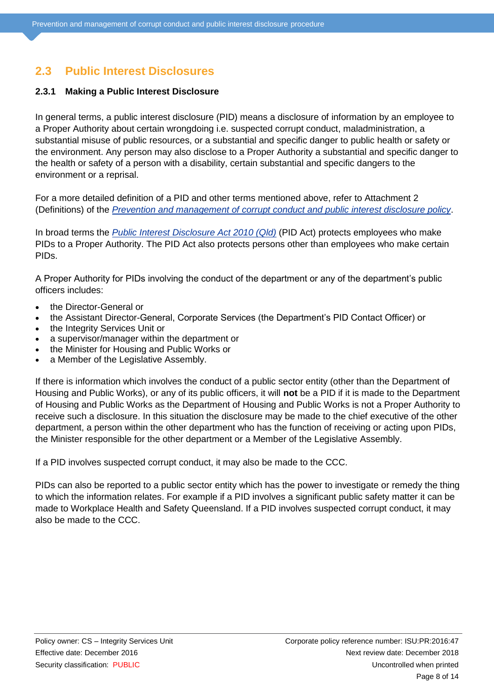### <span id="page-7-0"></span>**2.3 Public Interest Disclosures**

#### **2.3.1 Making a Public Interest Disclosure**

In general terms, a public interest disclosure (PID) means a disclosure of information by an employee to a Proper Authority about certain wrongdoing i.e. suspected corrupt conduct, maladministration, a substantial misuse of public resources, or a substantial and specific danger to public health or safety or the environment. Any person may also disclose to a Proper Authority a substantial and specific danger to the health or safety of a person with a disability, certain substantial and specific dangers to the environment or a reprisal.

For a more detailed definition of a PID and other terms mentioned above, refer to Attachment 2 (Definitions) of the *[Prevention and management of corrupt conduct and public interest disclosure policy](https://www.hpw.qld.gov.au/aboutus/Complaints/Pages/Default.aspx)*.

In broad terms the *[Public Interest Disclosure Act 2010 \(Qld\)](https://www.legislation.qld.gov.au/LEGISLTN/CURRENT/P/PubIntDisA10.pdf)* (PID Act) protects employees who make PIDs to a Proper Authority. The PID Act also protects persons other than employees who make certain PIDs.

A Proper Authority for PIDs involving the conduct of the department or any of the department's public officers includes:

- the Director-General or
- the Assistant Director-General, Corporate Services (the Department's PID Contact Officer) or
- the Integrity Services Unit or
- a supervisor/manager within the department or
- the Minister for Housing and Public Works or
- a Member of the Legislative Assembly.

If there is information which involves the conduct of a public sector entity (other than the Department of Housing and Public Works), or any of its public officers, it will **not** be a PID if it is made to the Department of Housing and Public Works as the Department of Housing and Public Works is not a Proper Authority to receive such a disclosure. In this situation the disclosure may be made to the chief executive of the other department, a person within the other department who has the function of receiving or acting upon PIDs, the Minister responsible for the other department or a Member of the Legislative Assembly.

If a PID involves suspected corrupt conduct, it may also be made to the CCC.

PIDs can also be reported to a public sector entity which has the power to investigate or remedy the thing to which the information relates. For example if a PID involves a significant public safety matter it can be made to Workplace Health and Safety Queensland. If a PID involves suspected corrupt conduct, it may also be made to the CCC.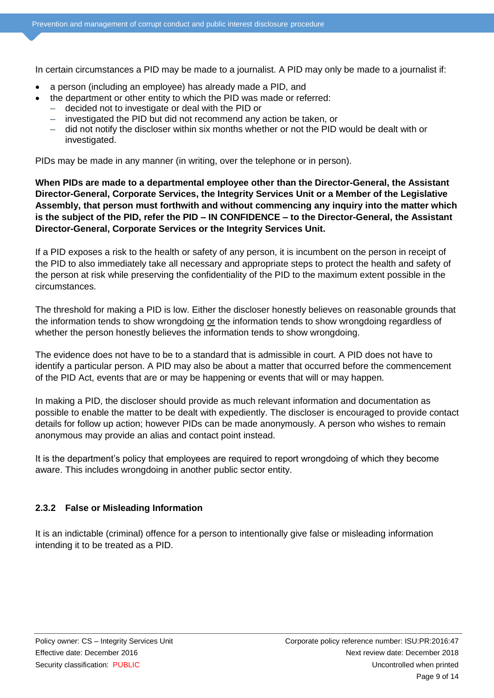In certain circumstances a PID may be made to a journalist. A PID may only be made to a journalist if:

- a person (including an employee) has already made a PID, and
- the department or other entity to which the PID was made or referred:
	- decided not to investigate or deal with the PID or
		- investigated the PID but did not recommend any action be taken, or
		- did not notify the discloser within six months whether or not the PID would be dealt with or investigated.

PIDs may be made in any manner (in writing, over the telephone or in person).

**When PIDs are made to a departmental employee other than the Director-General, the Assistant Director-General, Corporate Services, the Integrity Services Unit or a Member of the Legislative Assembly, that person must forthwith and without commencing any inquiry into the matter which is the subject of the PID, refer the PID – IN CONFIDENCE – to the Director-General, the Assistant Director-General, Corporate Services or the Integrity Services Unit.**

If a PID exposes a risk to the health or safety of any person, it is incumbent on the person in receipt of the PID to also immediately take all necessary and appropriate steps to protect the health and safety of the person at risk while preserving the confidentiality of the PID to the maximum extent possible in the circumstances.

The threshold for making a PID is low. Either the discloser honestly believes on reasonable grounds that the information tends to show wrongdoing or the information tends to show wrongdoing regardless of whether the person honestly believes the information tends to show wrongdoing.

The evidence does not have to be to a standard that is admissible in court. A PID does not have to identify a particular person. A PID may also be about a matter that occurred before the commencement of the PID Act, events that are or may be happening or events that will or may happen*.*

In making a PID, the discloser should provide as much relevant information and documentation as possible to enable the matter to be dealt with expediently. The discloser is encouraged to provide contact details for follow up action; however PIDs can be made anonymously. A person who wishes to remain anonymous may provide an alias and contact point instead.

It is the department's policy that employees are required to report wrongdoing of which they become aware. This includes wrongdoing in another public sector entity.

#### **2.3.2 False or Misleading Information**

It is an indictable (criminal) offence for a person to intentionally give false or misleading information intending it to be treated as a PID.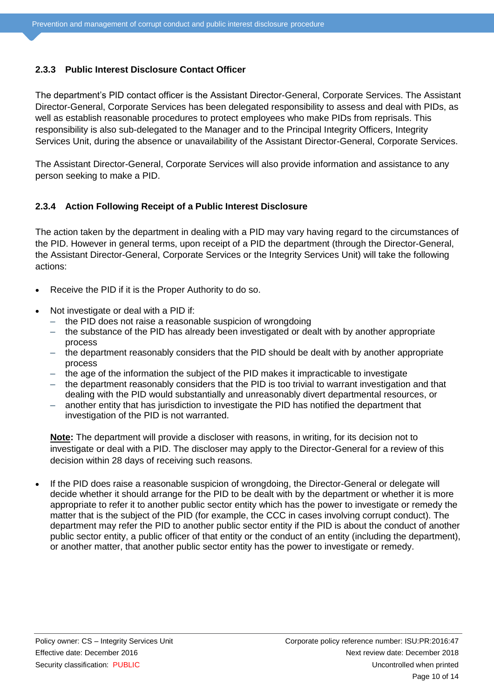#### **2.3.3 Public Interest Disclosure Contact Officer**

The department's PID contact officer is the Assistant Director-General, Corporate Services. The Assistant Director-General, Corporate Services has been delegated responsibility to assess and deal with PIDs, as well as establish reasonable procedures to protect employees who make PIDs from reprisals. This responsibility is also sub-delegated to the Manager and to the Principal Integrity Officers, Integrity Services Unit, during the absence or unavailability of the Assistant Director-General, Corporate Services.

The Assistant Director-General, Corporate Services will also provide information and assistance to any person seeking to make a PID.

#### **2.3.4 Action Following Receipt of a Public Interest Disclosure**

The action taken by the department in dealing with a PID may vary having regard to the circumstances of the PID. However in general terms, upon receipt of a PID the department (through the Director-General, the Assistant Director-General, Corporate Services or the Integrity Services Unit) will take the following actions:

- Receive the PID if it is the Proper Authority to do so.
- Not investigate or deal with a PID if:
	- the PID does not raise a reasonable suspicion of wrongdoing
	- the substance of the PID has already been investigated or dealt with by another appropriate process
	- the department reasonably considers that the PID should be dealt with by another appropriate process
	- the age of the information the subject of the PID makes it impracticable to investigate
	- the department reasonably considers that the PID is too trivial to warrant investigation and that dealing with the PID would substantially and unreasonably divert departmental resources, or
	- another entity that has jurisdiction to investigate the PID has notified the department that investigation of the PID is not warranted.

**Note:** The department will provide a discloser with reasons, in writing, for its decision not to investigate or deal with a PID. The discloser may apply to the Director-General for a review of this decision within 28 days of receiving such reasons.

 If the PID does raise a reasonable suspicion of wrongdoing, the Director-General or delegate will decide whether it should arrange for the PID to be dealt with by the department or whether it is more appropriate to refer it to another public sector entity which has the power to investigate or remedy the matter that is the subject of the PID (for example, the CCC in cases involving corrupt conduct). The department may refer the PID to another public sector entity if the PID is about the conduct of another public sector entity, a public officer of that entity or the conduct of an entity (including the department), or another matter, that another public sector entity has the power to investigate or remedy.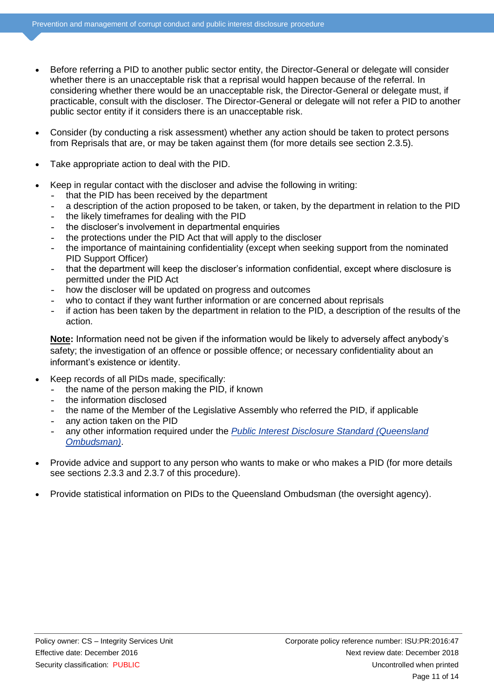- Before referring a PID to another public sector entity, the Director-General or delegate will consider whether there is an unacceptable risk that a reprisal would happen because of the referral. In considering whether there would be an unacceptable risk, the Director-General or delegate must, if practicable, consult with the discloser. The Director-General or delegate will not refer a PID to another public sector entity if it considers there is an unacceptable risk.
- Consider (by conducting a risk assessment) whether any action should be taken to protect persons from Reprisals that are, or may be taken against them (for more details see section 2.3.5).
- Take appropriate action to deal with the PID.
- Keep in regular contact with the discloser and advise the following in writing:
	- **–** that the PID has been received by the department
	- **–** a description of the action proposed to be taken, or taken, by the department in relation to the PID
	- **–** the likely timeframes for dealing with the PID
	- **–** the discloser's involvement in departmental enquiries
	- **–** the protections under the PID Act that will apply to the discloser
	- **–** the importance of maintaining confidentiality (except when seeking support from the nominated PID Support Officer)
	- **–** that the department will keep the discloser's information confidential, except where disclosure is permitted under the PID Act
	- **–** how the discloser will be updated on progress and outcomes
	- **–** who to contact if they want further information or are concerned about reprisals
	- **–** if action has been taken by the department in relation to the PID, a description of the results of the action.

**Note:** Information need not be given if the information would be likely to adversely affect anybody's safety; the investigation of an offence or possible offence; or necessary confidentiality about an informant's existence or identity.

- Keep records of all PIDs made, specifically:
	- **–** the name of the person making the PID, if known
	- **–** the information disclosed
	- **–** the name of the Member of the Legislative Assembly who referred the PID, if applicable
	- **–** any action taken on the PID
	- **–** any other information required under the *[Public Interest Disclosure Standard \(Queensland](https://www.ombudsman.qld.gov.au/what-we-do/role-of-the-ombudsman/legislation-and-standard)  [Ombudsman\)](https://www.ombudsman.qld.gov.au/what-we-do/role-of-the-ombudsman/legislation-and-standard)*.
- Provide advice and support to any person who wants to make or who makes a PID (for more details see sections 2.3.3 and 2.3.7 of this procedure).
- Provide statistical information on PIDs to the Queensland Ombudsman (the oversight agency).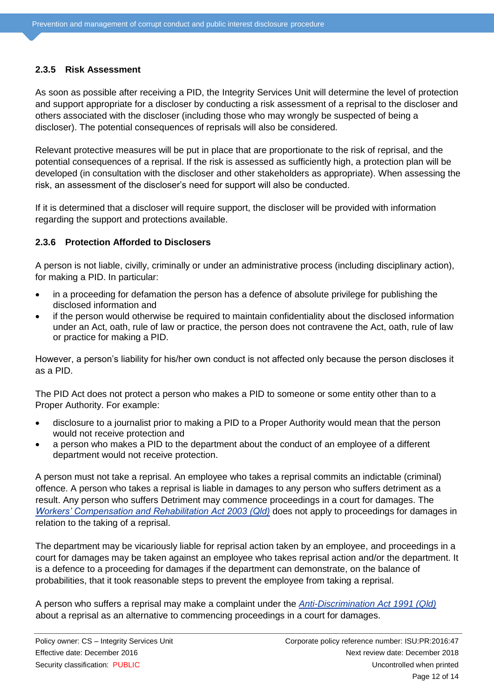#### **2.3.5 Risk Assessment**

As soon as possible after receiving a PID, the Integrity Services Unit will determine the level of protection and support appropriate for a discloser by conducting a risk assessment of a reprisal to the discloser and others associated with the discloser (including those who may wrongly be suspected of being a discloser). The potential consequences of reprisals will also be considered.

Relevant protective measures will be put in place that are proportionate to the risk of reprisal, and the potential consequences of a reprisal. If the risk is assessed as sufficiently high, a protection plan will be developed (in consultation with the discloser and other stakeholders as appropriate). When assessing the risk, an assessment of the discloser's need for support will also be conducted.

If it is determined that a discloser will require support, the discloser will be provided with information regarding the support and protections available.

#### **2.3.6 Protection Afforded to Disclosers**

A person is not liable, civilly, criminally or under an administrative process (including disciplinary action), for making a PID. In particular:

- in a proceeding for defamation the person has a defence of absolute privilege for publishing the disclosed information and
- if the person would otherwise be required to maintain confidentiality about the disclosed information under an Act, oath, rule of law or practice, the person does not contravene the Act, oath, rule of law or practice for making a PID.

However, a person's liability for his/her own conduct is not affected only because the person discloses it as a PID.

The PID Act does not protect a person who makes a PID to someone or some entity other than to a Proper Authority. For example:

- disclosure to a journalist prior to making a PID to a Proper Authority would mean that the person would not receive protection and
- a person who makes a PID to the department about the conduct of an employee of a different department would not receive protection.

A person must not take a reprisal. An employee who takes a reprisal commits an indictable (criminal) offence. A person who takes a reprisal is liable in damages to any person who suffers detriment as a result. Any person who suffers Detriment may commence proceedings in a court for damages. The *[Workers' Compensation and Rehabilitation Act 2003 \(Qld\)](https://www.legislation.qld.gov.au/LEGISLTN/CURRENT/W/WorkersCompA03.pdf)* does not apply to proceedings for damages in relation to the taking of a reprisal.

The department may be vicariously liable for reprisal action taken by an employee, and proceedings in a court for damages may be taken against an employee who takes reprisal action and/or the department. It is a defence to a proceeding for damages if the department can demonstrate, on the balance of probabilities, that it took reasonable steps to prevent the employee from taking a reprisal.

A person who suffers a reprisal may make a complaint under the *[Anti-Discrimination Act 1991 \(Qld\)](https://www.legislation.qld.gov.au/LEGISLTN/CURRENT/A/AntiDiscrimA91.pdf)* about a reprisal as an alternative to commencing proceedings in a court for damages.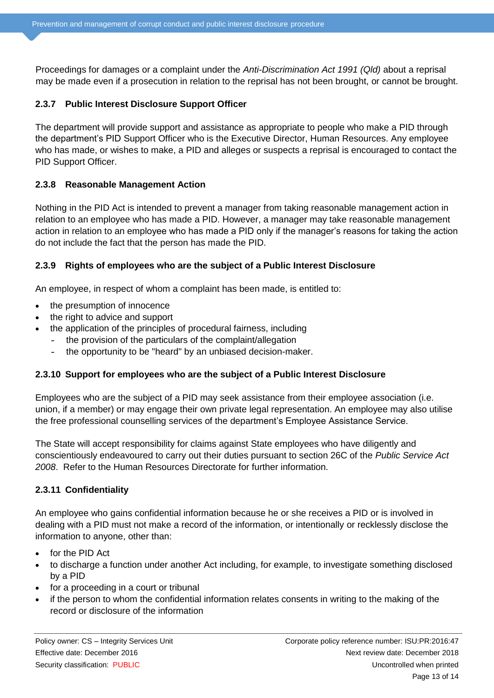Proceedings for damages or a complaint under the *Anti-Discrimination Act 1991 (Qld)* about a reprisal may be made even if a prosecution in relation to the reprisal has not been brought, or cannot be brought.

#### **2.3.7 Public Interest Disclosure Support Officer**

The department will provide support and assistance as appropriate to people who make a PID through the department's PID Support Officer who is the Executive Director, Human Resources. Any employee who has made, or wishes to make, a PID and alleges or suspects a reprisal is encouraged to contact the PID Support Officer.

#### **2.3.8 Reasonable Management Action**

Nothing in the PID Act is intended to prevent a manager from taking reasonable management action in relation to an employee who has made a PID. However, a manager may take reasonable management action in relation to an employee who has made a PID only if the manager's reasons for taking the action do not include the fact that the person has made the PID.

#### **2.3.9 Rights of employees who are the subject of a Public Interest Disclosure**

An employee, in respect of whom a complaint has been made, is entitled to:

- the presumption of innocence
- the right to advice and support
- the application of the principles of procedural fairness, including
	- **–** the provision of the particulars of the complaint/allegation
	- **–** the opportunity to be "heard" by an unbiased decision-maker.

#### **2.3.10 Support for employees who are the subject of a Public Interest Disclosure**

Employees who are the subject of a PID may seek assistance from their employee association (i.e. union, if a member) or may engage their own private legal representation. An employee may also utilise the free professional counselling services of the department's Employee Assistance Service.

The State will accept responsibility for claims against State employees who have diligently and conscientiously endeavoured to carry out their duties pursuant to section 26C of the *Public Service Act 2008*. Refer to the Human Resources Directorate for further information.

#### **2.3.11 Confidentiality**

An employee who gains confidential information because he or she receives a PID or is involved in dealing with a PID must not make a record of the information, or intentionally or recklessly disclose the information to anyone, other than:

- for the PID Act
- to discharge a function under another Act including, for example, to investigate something disclosed by a PID
- for a proceeding in a court or tribunal
- if the person to whom the confidential information relates consents in writing to the making of the record or disclosure of the information